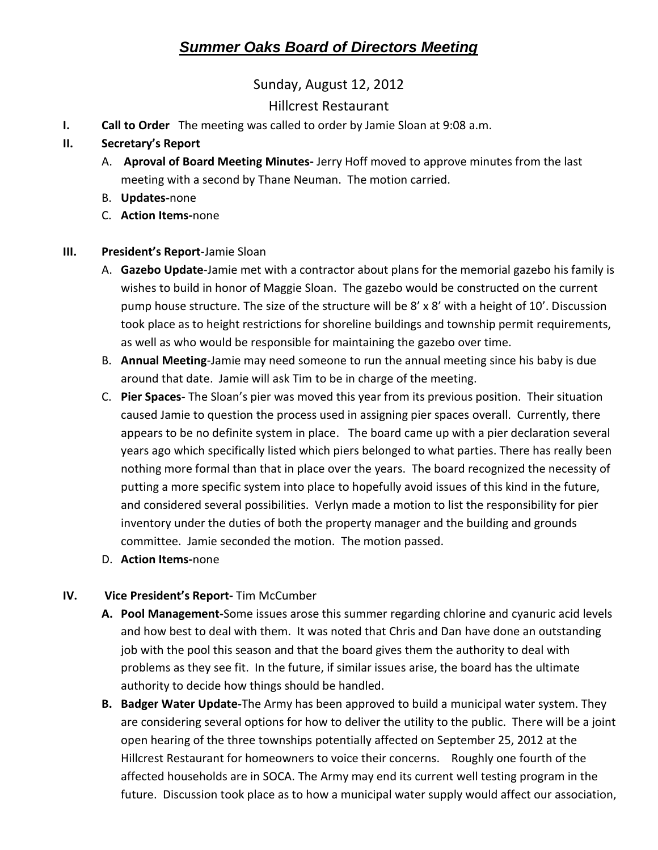# *Summer Oaks Board of Directors Meeting*

Sunday, August 12, 2012

# Hillcrest Restaurant

**I. Call to Order** The meeting was called to order by Jamie Sloan at 9:08 a.m.

## **II. Secretary's Report**

- A. **Aproval of Board Meeting Minutes-** Jerry Hoff moved to approve minutes from the last meeting with a second by Thane Neuman. The motion carried.
- B. **Updates-**none
- C. **Action Items-**none

### **III. President's Report**-Jamie Sloan

- A. **Gazebo Update**-Jamie met with a contractor about plans for the memorial gazebo his family is wishes to build in honor of Maggie Sloan. The gazebo would be constructed on the current pump house structure. The size of the structure will be 8' x 8' with a height of 10'. Discussion took place as to height restrictions for shoreline buildings and township permit requirements, as well as who would be responsible for maintaining the gazebo over time.
- B. **Annual Meeting**-Jamie may need someone to run the annual meeting since his baby is due around that date. Jamie will ask Tim to be in charge of the meeting.
- C. **Pier Spaces** The Sloan's pier was moved this year from its previous position. Their situation caused Jamie to question the process used in assigning pier spaces overall. Currently, there appears to be no definite system in place. The board came up with a pier declaration several years ago which specifically listed which piers belonged to what parties. There has really been nothing more formal than that in place over the years. The board recognized the necessity of putting a more specific system into place to hopefully avoid issues of this kind in the future, and considered several possibilities. Verlyn made a motion to list the responsibility for pier inventory under the duties of both the property manager and the building and grounds committee. Jamie seconded the motion. The motion passed.
- D. **Action Items-**none

### **IV. Vice President's Report-** Tim McCumber

- **A. Pool Management-**Some issues arose this summer regarding chlorine and cyanuric acid levels and how best to deal with them. It was noted that Chris and Dan have done an outstanding job with the pool this season and that the board gives them the authority to deal with problems as they see fit. In the future, if similar issues arise, the board has the ultimate authority to decide how things should be handled.
- **B. Badger Water Update-**The Army has been approved to build a municipal water system. They are considering several options for how to deliver the utility to the public. There will be a joint open hearing of the three townships potentially affected on September 25, 2012 at the Hillcrest Restaurant for homeowners to voice their concerns. Roughly one fourth of the affected households are in SOCA. The Army may end its current well testing program in the future. Discussion took place as to how a municipal water supply would affect our association,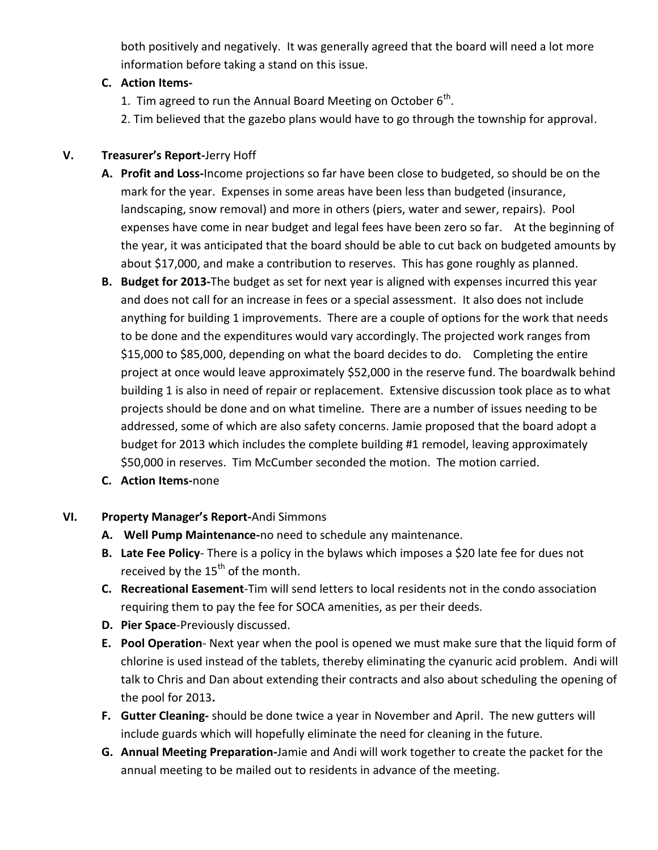both positively and negatively. It was generally agreed that the board will need a lot more information before taking a stand on this issue.

## **C. Action Items-**

- 1. Tim agreed to run the Annual Board Meeting on October 6<sup>th</sup>.
- 2. Tim believed that the gazebo plans would have to go through the township for approval.

## **V. Treasurer's Report-**Jerry Hoff

- **A. Profit and Loss-**Income projections so far have been close to budgeted, so should be on the mark for the year. Expenses in some areas have been less than budgeted (insurance, landscaping, snow removal) and more in others (piers, water and sewer, repairs). Pool expenses have come in near budget and legal fees have been zero so far. At the beginning of the year, it was anticipated that the board should be able to cut back on budgeted amounts by about \$17,000, and make a contribution to reserves. This has gone roughly as planned.
- **B. Budget for 2013-**The budget as set for next year is aligned with expenses incurred this year and does not call for an increase in fees or a special assessment. It also does not include anything for building 1 improvements. There are a couple of options for the work that needs to be done and the expenditures would vary accordingly. The projected work ranges from \$15,000 to \$85,000, depending on what the board decides to do. Completing the entire project at once would leave approximately \$52,000 in the reserve fund. The boardwalk behind building 1 is also in need of repair or replacement. Extensive discussion took place as to what projects should be done and on what timeline. There are a number of issues needing to be addressed, some of which are also safety concerns. Jamie proposed that the board adopt a budget for 2013 which includes the complete building #1 remodel, leaving approximately \$50,000 in reserves. Tim McCumber seconded the motion. The motion carried.
- **C. Action Items-**none

### **VI. Property Manager's Report-**Andi Simmons

- **A. Well Pump Maintenance-**no need to schedule any maintenance.
- **B. Late Fee Policy** There is a policy in the bylaws which imposes a \$20 late fee for dues not received by the  $15<sup>th</sup>$  of the month.
- **C. Recreational Easement**-Tim will send letters to local residents not in the condo association requiring them to pay the fee for SOCA amenities, as per their deeds.
- **D. Pier Space**-Previously discussed.
- **E. Pool Operation** Next year when the pool is opened we must make sure that the liquid form of chlorine is used instead of the tablets, thereby eliminating the cyanuric acid problem. Andi will talk to Chris and Dan about extending their contracts and also about scheduling the opening of the pool for 2013**.**
- **F. Gutter Cleaning-** should be done twice a year in November and April. The new gutters will include guards which will hopefully eliminate the need for cleaning in the future.
- **G. Annual Meeting Preparation-**Jamie and Andi will work together to create the packet for the annual meeting to be mailed out to residents in advance of the meeting.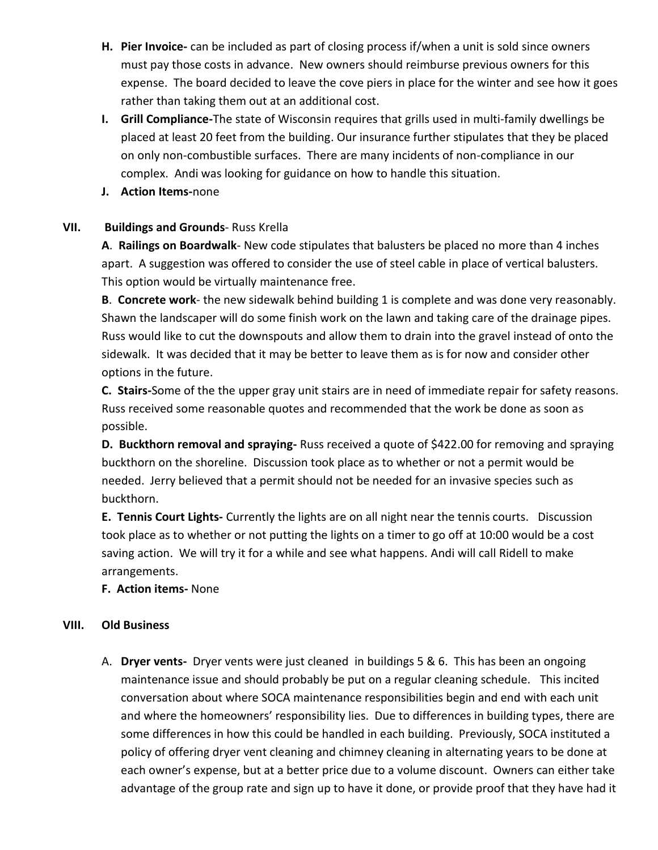- **H. Pier Invoice-** can be included as part of closing process if/when a unit is sold since owners must pay those costs in advance. New owners should reimburse previous owners for this expense. The board decided to leave the cove piers in place for the winter and see how it goes rather than taking them out at an additional cost.
- **I. Grill Compliance-**The state of Wisconsin requires that grills used in multi-family dwellings be placed at least 20 feet from the building. Our insurance further stipulates that they be placed on only non-combustible surfaces. There are many incidents of non-compliance in our complex. Andi was looking for guidance on how to handle this situation.
- **J. Action Items-**none

## **VII. Buildings and Grounds**- Russ Krella

**A**. **Railings on Boardwalk**- New code stipulates that balusters be placed no more than 4 inches apart. A suggestion was offered to consider the use of steel cable in place of vertical balusters. This option would be virtually maintenance free.

**B**. **Concrete work**- the new sidewalk behind building 1 is complete and was done very reasonably. Shawn the landscaper will do some finish work on the lawn and taking care of the drainage pipes. Russ would like to cut the downspouts and allow them to drain into the gravel instead of onto the sidewalk. It was decided that it may be better to leave them as is for now and consider other options in the future.

**C. Stairs-**Some of the the upper gray unit stairs are in need of immediate repair for safety reasons. Russ received some reasonable quotes and recommended that the work be done as soon as possible.

**D. Buckthorn removal and spraying-** Russ received a quote of \$422.00 for removing and spraying buckthorn on the shoreline. Discussion took place as to whether or not a permit would be needed. Jerry believed that a permit should not be needed for an invasive species such as buckthorn.

**E. Tennis Court Lights-** Currently the lights are on all night near the tennis courts. Discussion took place as to whether or not putting the lights on a timer to go off at 10:00 would be a cost saving action. We will try it for a while and see what happens. Andi will call Ridell to make arrangements.

### **F. Action items-** None

### **VIII. Old Business**

A. **Dryer vents-** Dryer vents were just cleaned in buildings 5 & 6. This has been an ongoing maintenance issue and should probably be put on a regular cleaning schedule. This incited conversation about where SOCA maintenance responsibilities begin and end with each unit and where the homeowners' responsibility lies. Due to differences in building types, there are some differences in how this could be handled in each building. Previously, SOCA instituted a policy of offering dryer vent cleaning and chimney cleaning in alternating years to be done at each owner's expense, but at a better price due to a volume discount. Owners can either take advantage of the group rate and sign up to have it done, or provide proof that they have had it